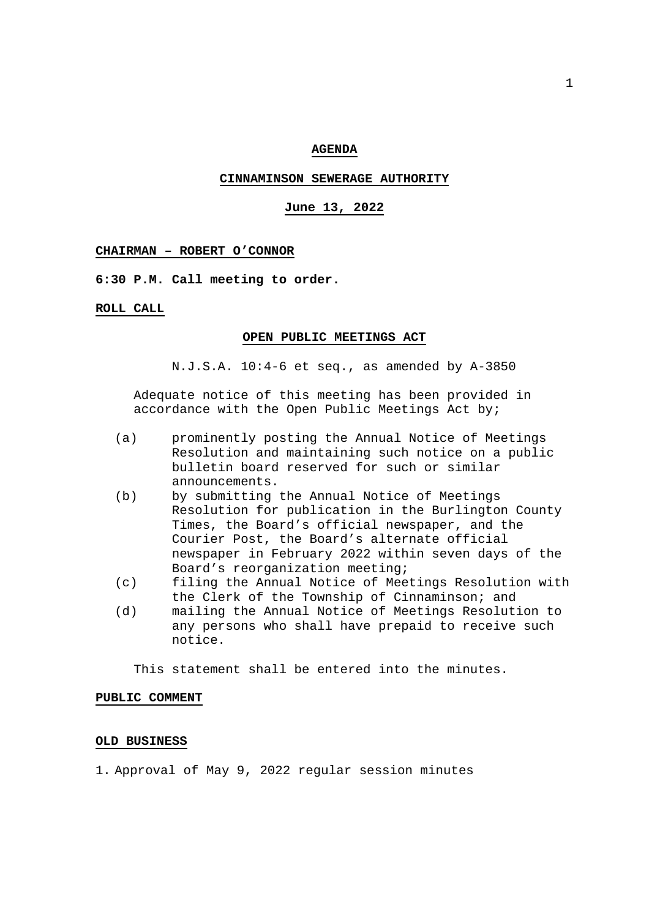## **AGENDA**

## **CINNAMINSON SEWERAGE AUTHORITY**

# **June 13, 2022**

#### **CHAIRMAN – ROBERT O'CONNOR**

**6:30 P.M. Call meeting to order.** 

#### **ROLL CALL**

#### **OPEN PUBLIC MEETINGS ACT**

N.J.S.A. 10:4-6 et seq., as amended by A-3850

 Adequate notice of this meeting has been provided in accordance with the Open Public Meetings Act by;

- (a) prominently posting the Annual Notice of Meetings Resolution and maintaining such notice on a public bulletin board reserved for such or similar announcements.
- (b) by submitting the Annual Notice of Meetings Resolution for publication in the Burlington County Times, the Board's official newspaper, and the Courier Post, the Board's alternate official newspaper in February 2022 within seven days of the Board's reorganization meeting;
- (c) filing the Annual Notice of Meetings Resolution with the Clerk of the Township of Cinnaminson; and
- (d) mailing the Annual Notice of Meetings Resolution to any persons who shall have prepaid to receive such notice.

This statement shall be entered into the minutes.

## **PUBLIC COMMENT**

## **OLD BUSINESS**

1. Approval of May 9, 2022 regular session minutes